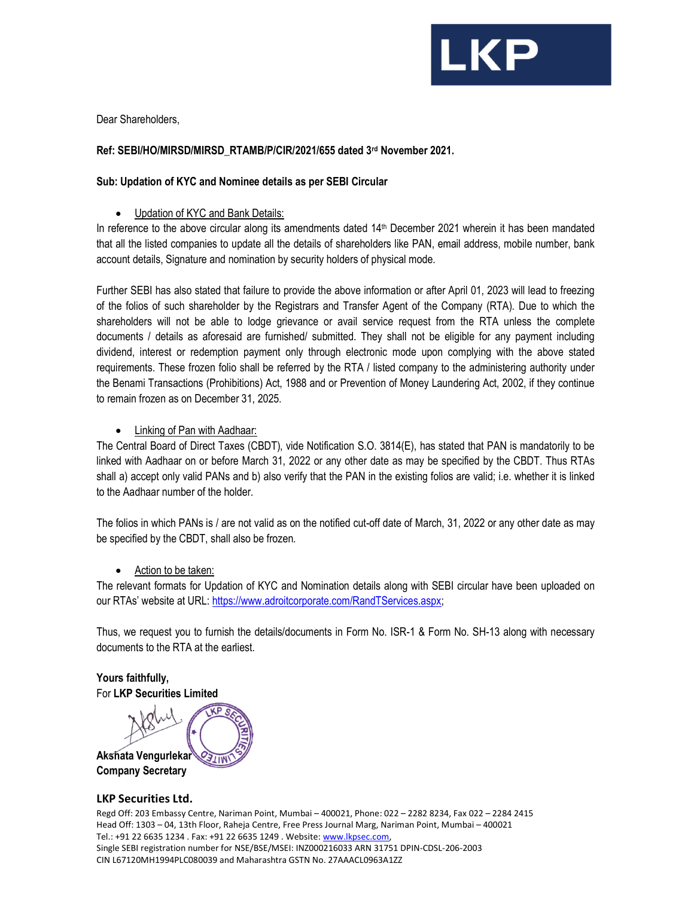

Dear Shareholders,

## Ref: SEBI/HO/MIRSD/MIRSD\_RTAMB/P/CIR/2021/655 dated 3rd November 2021.

## Sub: Updation of KYC and Nominee details as per SEBI Circular

Updation of KYC and Bank Details:

In reference to the above circular along its amendments dated 14<sup>th</sup> December 2021 wherein it has been mandated that all the listed companies to update all the details of shareholders like PAN, email address, mobile number, bank account details, Signature and nomination by security holders of physical mode.

Further SEBI has also stated that failure to provide the above information or after April 01, 2023 will lead to freezing of the folios of such shareholder by the Registrars and Transfer Agent of the Company (RTA). Due to which the shareholders will not be able to lodge grievance or avail service request from the RTA unless the complete documents / details as aforesaid are furnished/ submitted. They shall not be eligible for any payment including dividend, interest or redemption payment only through electronic mode upon complying with the above stated requirements. These frozen folio shall be referred by the RTA / listed company to the administering authority under the Benami Transactions (Prohibitions) Act, 1988 and or Prevention of Money Laundering Act, 2002, if they continue to remain frozen as on December 31, 2025.

Linking of Pan with Aadhaar:

The Central Board of Direct Taxes (CBDT), vide Notification S.O. 3814(E), has stated that PAN is mandatorily to be linked with Aadhaar on or before March 31, 2022 or any other date as may be specified by the CBDT. Thus RTAs shall a) accept only valid PANs and b) also verify that the PAN in the existing folios are valid; i.e. whether it is linked to the Aadhaar number of the holder.

The folios in which PANs is / are not valid as on the notified cut-off date of March, 31, 2022 or any other date as may be specified by the CBDT, shall also be frozen.

• Action to be taken:

The relevant formats for Updation of KYC and Nomination details along with SEBI circular have been uploaded on our RTAs' website at URL: https://www.adroitcorporate.com/RandTServices.aspx;

Thus, we request you to furnish the details/documents in Form No. ISR-1 & Form No. SH-13 along with necessary documents to the RTA at the earliest.

Yours faithfully, For LKP Securities Limited

Akshata Vengurlekar

Company Secretary

#### LKP Securities Ltd.

Regd Off: 203 Embassy Centre, Nariman Point, Mumbai – 400021, Phone: 022 – 2282 8234, Fax 022 – 2284 2415 Head Off: 1303 – 04, 13th Floor, Raheja Centre, Free Press Journal Marg, Nariman Point, Mumbai – 400021 Tel.: +91 22 6635 1234 . Fax: +91 22 6635 1249 . Website: www.lkpsec.com, Single SEBI registration number for NSE/BSE/MSEI: INZ000216033 ARN 31751 DPIN-CDSL-206-2003 CIN L67120MH1994PLC080039 and Maharashtra GSTN No. 27AAACL0963A1ZZ